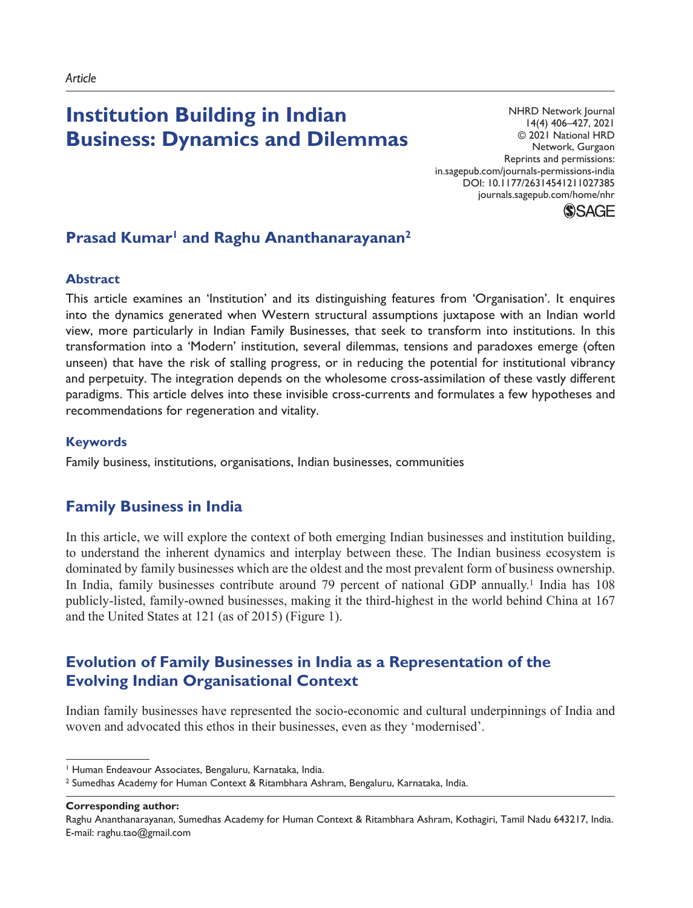# **Institution Building in Indian Business: Dynamics and Dilemmas**

entistic and permissions-india.<br>in.sagepub.com/journals-permissions-india NHRD Network Journal 14(4) 406–427, 2021 © 2021 National HRD Network, Gurgaon Reprints and permissions: DOI: 10.1177/26314541211027385 journals.sagepub.com/home/nhr

**SSAGE** 

# Prasad Kumar<sup>1</sup> and Raghu Ananthanarayanan<sup>2</sup>

### **Abstract**

This article examines an 'Institution' and its distinguishing features from 'Organisation'. It enquires into the dynamics generated when Western structural assumptions juxtapose with an Indian world view, more particularly in Indian Family Businesses, that seek to transform into institutions. In this transformation into a 'Modern' institution, several dilemmas, tensions and paradoxes emerge (often unseen) that have the risk of stalling progress, or in reducing the potential for institutional vibrancy and perpetuity. The integration depends on the wholesome cross-assimilation of these vastly different paradigms. This article delves into these invisible cross-currents and formulates a few hypotheses and recommendations for regeneration and vitality.

### **Keywords**

Family business, institutions, organisations, Indian businesses, communities

# **Family Business in India**

In this article, we will explore the context of both emerging Indian businesses and institution building, to understand the inherent dynamics and interplay between these. The Indian business ecosystem is dominated by family businesses which are the oldest and the most prevalent form of business ownership. In India, family businesses contribute around 79 percent of national GDP annually.1 India has 108 publicly-listed, family-owned businesses, making it the third-highest in the world behind China at 167 and the United States at 121 (as of 2015) (Figure 1).

# **Evolution of Family Businesses in India as a Representation of the Evolving Indian Organisational Context**

Indian family businesses have represented the socio-economic and cultural underpinnings of India and woven and advocated this ethos in their businesses, even as they 'modernised'.

**Corresponding author:**

<sup>1</sup> Human Endeavour Associates, Bengaluru, Karnataka, India.

<sup>2</sup> Sumedhas Academy for Human Context & Ritambhara Ashram, Bengaluru, Karnataka, India.

Raghu Ananthanarayanan, Sumedhas Academy for Human Context & Ritambhara Ashram, Kothagiri, Tamil Nadu 643217, India. E-mail: raghu.tao@gmail.com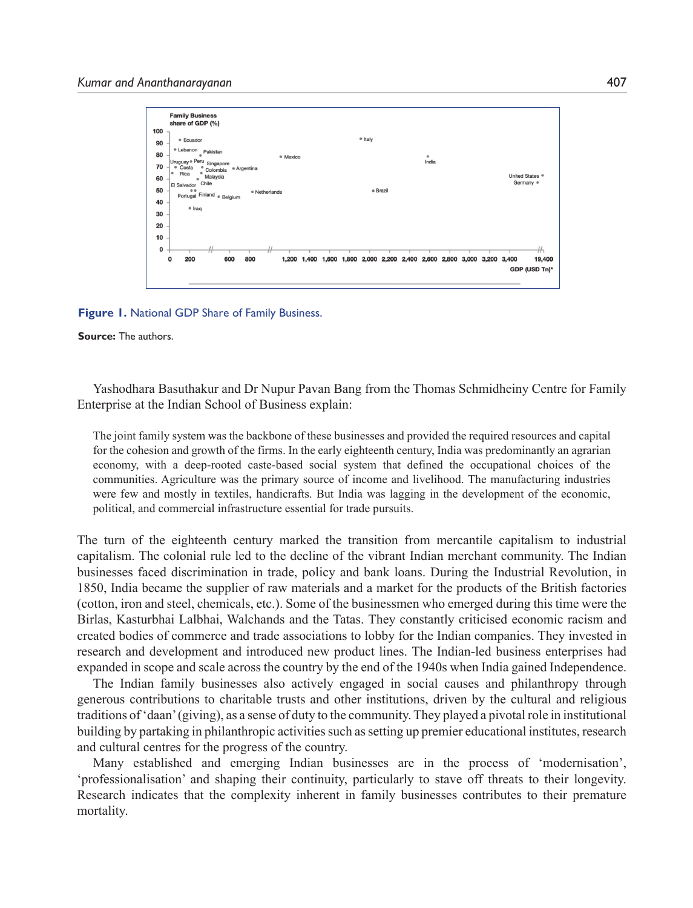

**Figure 1.** National GDP Share of Family Business.

**Source:** The authors.

Yashodhara Basuthakur and Dr Nupur Pavan Bang from the Thomas Schmidheiny Centre for Family Enterprise at the Indian School of Business explain:

The joint family system was the backbone of these businesses and provided the required resources and capital for the cohesion and growth of the firms. In the early eighteenth century, India was predominantly an agrarian economy, with a deep-rooted caste-based social system that defined the occupational choices of the communities. Agriculture was the primary source of income and livelihood. The manufacturing industries were few and mostly in textiles, handicrafts. But India was lagging in the development of the economic, political, and commercial infrastructure essential for trade pursuits.

The turn of the eighteenth century marked the transition from mercantile capitalism to industrial capitalism. The colonial rule led to the decline of the vibrant Indian merchant community. The Indian businesses faced discrimination in trade, policy and bank loans. During the Industrial Revolution, in 1850, India became the supplier of raw materials and a market for the products of the British factories (cotton, iron and steel, chemicals, etc.). Some of the businessmen who emerged during this time were the Birlas, Kasturbhai Lalbhai, Walchands and the Tatas. They constantly criticised economic racism and created bodies of commerce and trade associations to lobby for the Indian companies. They invested in research and development and introduced new product lines. The Indian-led business enterprises had expanded in scope and scale across the country by the end of the 1940s when India gained Independence.

The Indian family businesses also actively engaged in social causes and philanthropy through generous contributions to charitable trusts and other institutions, driven by the cultural and religious traditions of 'daan' (giving), as a sense of duty to the community. They played a pivotal role in institutional building by partaking in philanthropic activities such as setting up premier educational institutes, research and cultural centres for the progress of the country.

Many established and emerging Indian businesses are in the process of 'modernisation', 'professionalisation' and shaping their continuity, particularly to stave off threats to their longevity. Research indicates that the complexity inherent in family businesses contributes to their premature mortality.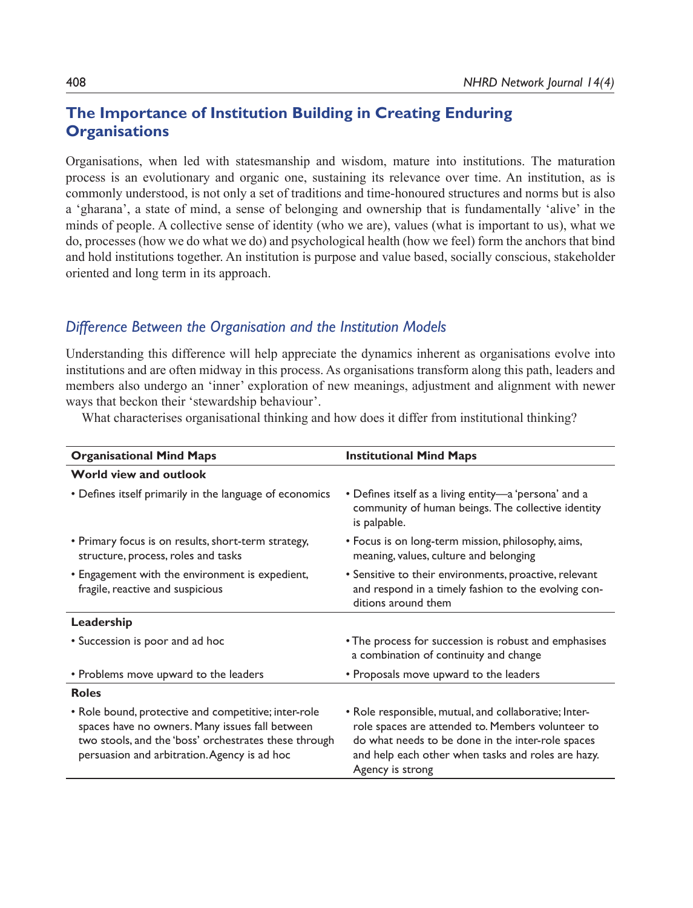# **The Importance of Institution Building in Creating Enduring Organisations**

Organisations, when led with statesmanship and wisdom, mature into institutions. The maturation process is an evolutionary and organic one, sustaining its relevance over time. An institution, as is commonly understood, is not only a set of traditions and time-honoured structures and norms but is also a 'gharana', a state of mind, a sense of belonging and ownership that is fundamentally 'alive' in the minds of people. A collective sense of identity (who we are), values (what is important to us), what we do, processes (how we do what we do) and psychological health (how we feel) form the anchors that bind and hold institutions together. An institution is purpose and value based, socially conscious, stakeholder oriented and long term in its approach.

## *Difference Between the Organisation and the Institution Models*

Understanding this difference will help appreciate the dynamics inherent as organisations evolve into institutions and are often midway in this process. As organisations transform along this path, leaders and members also undergo an 'inner' exploration of new meanings, adjustment and alignment with newer ways that beckon their 'stewardship behaviour'.

What characterises organisational thinking and how does it differ from institutional thinking?

| <b>Organisational Mind Maps</b>                                                                                                                                                                                  | <b>Institutional Mind Maps</b>                                                                                                                                                                                                            |
|------------------------------------------------------------------------------------------------------------------------------------------------------------------------------------------------------------------|-------------------------------------------------------------------------------------------------------------------------------------------------------------------------------------------------------------------------------------------|
| World view and outlook                                                                                                                                                                                           |                                                                                                                                                                                                                                           |
| • Defines itself primarily in the language of economics                                                                                                                                                          | • Defines itself as a living entity—a 'persona' and a<br>community of human beings. The collective identity<br>is palpable.                                                                                                               |
| • Primary focus is on results, short-term strategy,<br>structure, process, roles and tasks                                                                                                                       | • Focus is on long-term mission, philosophy, aims,<br>meaning, values, culture and belonging                                                                                                                                              |
| • Engagement with the environment is expedient,<br>fragile, reactive and suspicious                                                                                                                              | • Sensitive to their environments, proactive, relevant<br>and respond in a timely fashion to the evolving con-<br>ditions around them                                                                                                     |
| Leadership                                                                                                                                                                                                       |                                                                                                                                                                                                                                           |
| • Succession is poor and ad hoc                                                                                                                                                                                  | • The process for succession is robust and emphasises<br>a combination of continuity and change                                                                                                                                           |
| • Problems move upward to the leaders                                                                                                                                                                            | • Proposals move upward to the leaders                                                                                                                                                                                                    |
| <b>Roles</b>                                                                                                                                                                                                     |                                                                                                                                                                                                                                           |
| • Role bound, protective and competitive; inter-role<br>spaces have no owners. Many issues fall between<br>two stools, and the 'boss' orchestrates these through<br>persuasion and arbitration. Agency is ad hoc | • Role responsible, mutual, and collaborative; Inter-<br>role spaces are attended to. Members volunteer to<br>do what needs to be done in the inter-role spaces<br>and help each other when tasks and roles are hazy.<br>Agency is strong |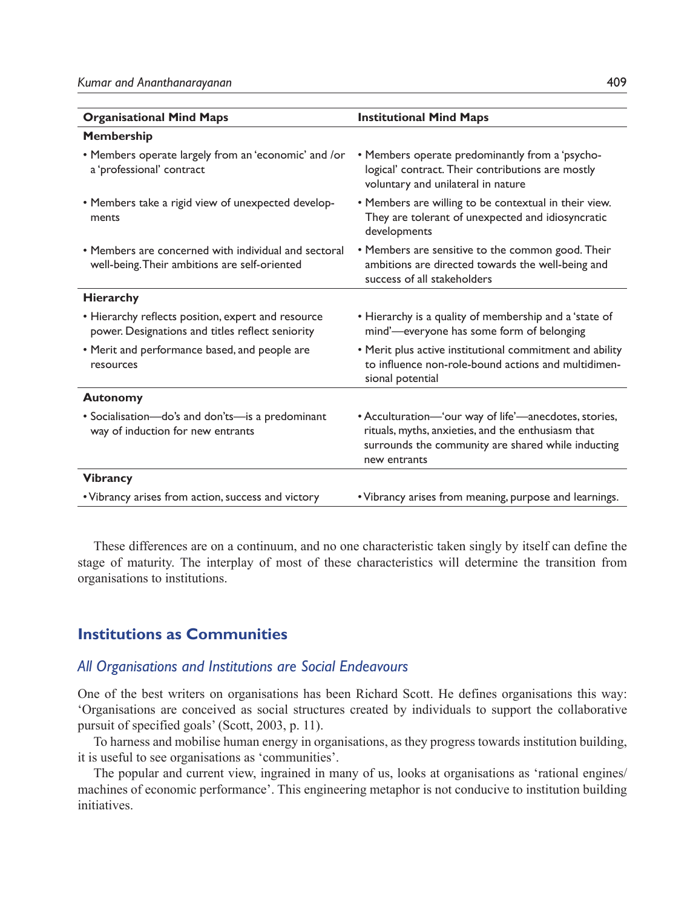| <b>Organisational Mind Maps</b>                                                                        | <b>Institutional Mind Maps</b>                                                                                                                                                    |
|--------------------------------------------------------------------------------------------------------|-----------------------------------------------------------------------------------------------------------------------------------------------------------------------------------|
| Membership                                                                                             |                                                                                                                                                                                   |
| • Members operate largely from an 'economic' and /or<br>a 'professional' contract                      | • Members operate predominantly from a 'psycho-<br>logical' contract. Their contributions are mostly<br>voluntary and unilateral in nature                                        |
| • Members take a rigid view of unexpected develop-<br>ments                                            | • Members are willing to be contextual in their view.<br>They are tolerant of unexpected and idiosyncratic<br>developments                                                        |
| • Members are concerned with individual and sectoral<br>well-being. Their ambitions are self-oriented  | • Members are sensitive to the common good. Their<br>ambitions are directed towards the well-being and<br>success of all stakeholders                                             |
| <b>Hierarchy</b>                                                                                       |                                                                                                                                                                                   |
| • Hierarchy reflects position, expert and resource<br>power. Designations and titles reflect seniority | • Hierarchy is a quality of membership and a 'state of<br>mind'-everyone has some form of belonging                                                                               |
| • Merit and performance based, and people are<br>resources                                             | • Merit plus active institutional commitment and ability<br>to influence non-role-bound actions and multidimen-<br>sional potential                                               |
| <b>Autonomy</b>                                                                                        |                                                                                                                                                                                   |
| • Socialisation—do's and don'ts—is a predominant<br>way of induction for new entrants                  | • Acculturation-'our way of life'-anecdotes, stories,<br>rituals, myths, anxieties, and the enthusiasm that<br>surrounds the community are shared while inducting<br>new entrants |
| <b>Vibrancy</b>                                                                                        |                                                                                                                                                                                   |
| • Vibrancy arises from action, success and victory                                                     | • Vibrancy arises from meaning, purpose and learnings.                                                                                                                            |

These differences are on a continuum, and no one characteristic taken singly by itself can define the stage of maturity. The interplay of most of these characteristics will determine the transition from organisations to institutions.

## **Institutions as Communities**

### *All Organisations and Institutions are Social Endeavours*

One of the best writers on organisations has been Richard Scott. He defines organisations this way: 'Organisations are conceived as social structures created by individuals to support the collaborative pursuit of specified goals' (Scott, 2003, p. 11).

To harness and mobilise human energy in organisations, as they progress towards institution building, it is useful to see organisations as 'communities'.

The popular and current view, ingrained in many of us, looks at organisations as 'rational engines/ machines of economic performance'. This engineering metaphor is not conducive to institution building initiatives.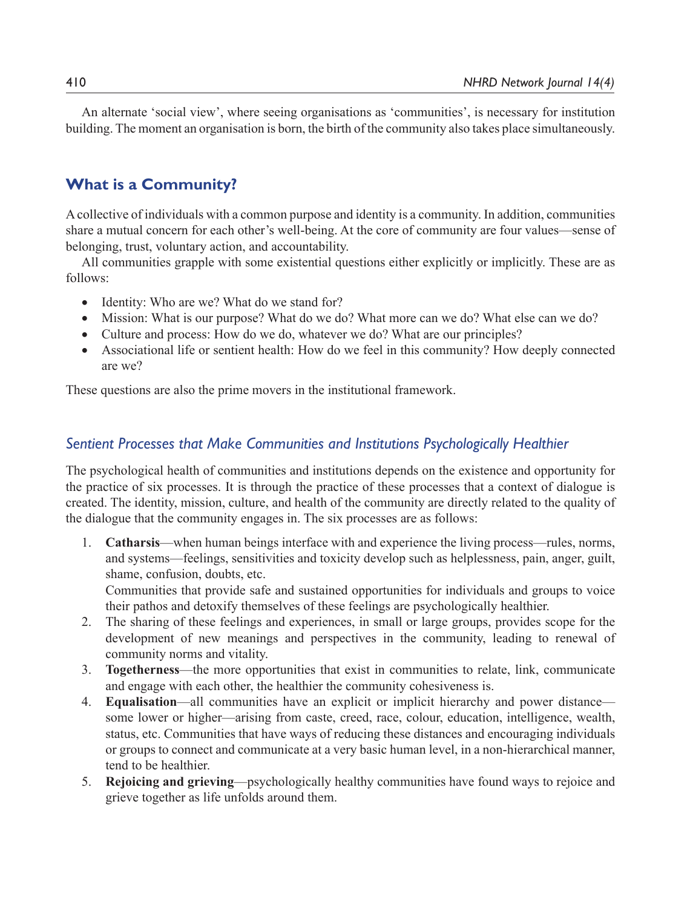An alternate 'social view', where seeing organisations as 'communities', is necessary for institution building. The moment an organisation is born, the birth of the community also takes place simultaneously.

# **What is a Community?**

A collective of individuals with a common purpose and identity is a community. In addition, communities share a mutual concern for each other's well-being. At the core of community are four values—sense of belonging, trust, voluntary action, and accountability.

All communities grapple with some existential questions either explicitly or implicitly. These are as follows:

- Identity: Who are we? What do we stand for?
- Mission: What is our purpose? What do we do? What more can we do? What else can we do?
- Culture and process: How do we do, whatever we do? What are our principles?
- Associational life or sentient health: How do we feel in this community? How deeply connected are we?

These questions are also the prime movers in the institutional framework.

## *Sentient Processes that Make Communities and Institutions Psychologically Healthier*

The psychological health of communities and institutions depends on the existence and opportunity for the practice of six processes. It is through the practice of these processes that a context of dialogue is created. The identity, mission, culture, and health of the community are directly related to the quality of the dialogue that the community engages in. The six processes are as follows:

1. **Catharsis**—when human beings interface with and experience the living process—rules, norms, and systems—feelings, sensitivities and toxicity develop such as helplessness, pain, anger, guilt, shame, confusion, doubts, etc.

Communities that provide safe and sustained opportunities for individuals and groups to voice their pathos and detoxify themselves of these feelings are psychologically healthier.

- 2. The sharing of these feelings and experiences, in small or large groups, provides scope for the development of new meanings and perspectives in the community, leading to renewal of community norms and vitality.
- 3. **Togetherness**—the more opportunities that exist in communities to relate, link, communicate and engage with each other, the healthier the community cohesiveness is.
- 4. **Equalisation**—all communities have an explicit or implicit hierarchy and power distance some lower or higher—arising from caste, creed, race, colour, education, intelligence, wealth, status, etc. Communities that have ways of reducing these distances and encouraging individuals or groups to connect and communicate at a very basic human level, in a non-hierarchical manner, tend to be healthier.
- 5. **Rejoicing and grieving**—psychologically healthy communities have found ways to rejoice and grieve together as life unfolds around them.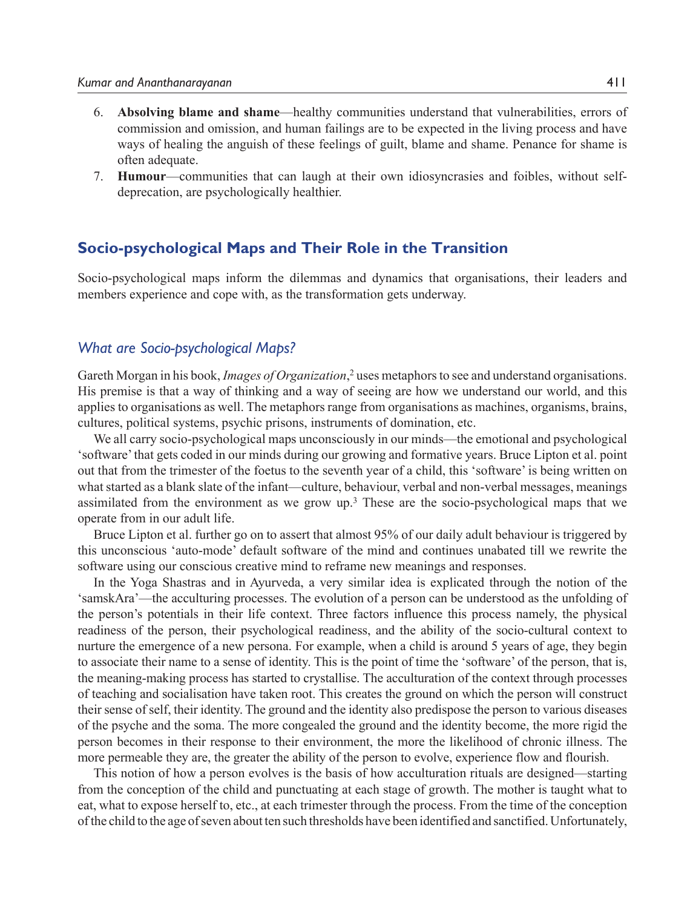- 6. **Absolving blame and shame**—healthy communities understand that vulnerabilities, errors of commission and omission, and human failings are to be expected in the living process and have ways of healing the anguish of these feelings of guilt, blame and shame. Penance for shame is often adequate.
- 7. **Humour**—communities that can laugh at their own idiosyncrasies and foibles, without selfdeprecation, are psychologically healthier.

### **Socio-psychological Maps and Their Role in the Transition**

Socio-psychological maps inform the dilemmas and dynamics that organisations, their leaders and members experience and cope with, as the transformation gets underway.

#### *What are Socio-psychological Maps?*

Gareth Morgan in his book, *Images of Organization*, 2 uses metaphors to see and understand organisations. His premise is that a way of thinking and a way of seeing are how we understand our world, and this applies to organisations as well. The metaphors range from organisations as machines, organisms, brains, cultures, political systems, psychic prisons, instruments of domination, etc.

We all carry socio-psychological maps unconsciously in our minds—the emotional and psychological 'software' that gets coded in our minds during our growing and formative years. Bruce Lipton et al. point out that from the trimester of the foetus to the seventh year of a child, this 'software' is being written on what started as a blank slate of the infant—culture, behaviour, verbal and non-verbal messages, meanings assimilated from the environment as we grow up.<sup>3</sup> These are the socio-psychological maps that we operate from in our adult life.

Bruce Lipton et al. further go on to assert that almost 95% of our daily adult behaviour is triggered by this unconscious 'auto-mode' default software of the mind and continues unabated till we rewrite the software using our conscious creative mind to reframe new meanings and responses.

In the Yoga Shastras and in Ayurveda, a very similar idea is explicated through the notion of the 'samskAra'—the acculturing processes. The evolution of a person can be understood as the unfolding of the person's potentials in their life context. Three factors influence this process namely, the physical readiness of the person, their psychological readiness, and the ability of the socio-cultural context to nurture the emergence of a new persona. For example, when a child is around 5 years of age, they begin to associate their name to a sense of identity. This is the point of time the 'software' of the person, that is, the meaning-making process has started to crystallise. The acculturation of the context through processes of teaching and socialisation have taken root. This creates the ground on which the person will construct their sense of self, their identity. The ground and the identity also predispose the person to various diseases of the psyche and the soma. The more congealed the ground and the identity become, the more rigid the person becomes in their response to their environment, the more the likelihood of chronic illness. The more permeable they are, the greater the ability of the person to evolve, experience flow and flourish.

This notion of how a person evolves is the basis of how acculturation rituals are designed—starting from the conception of the child and punctuating at each stage of growth. The mother is taught what to eat, what to expose herself to, etc., at each trimester through the process. From the time of the conception of the child to the age of seven about ten such thresholds have been identified and sanctified. Unfortunately,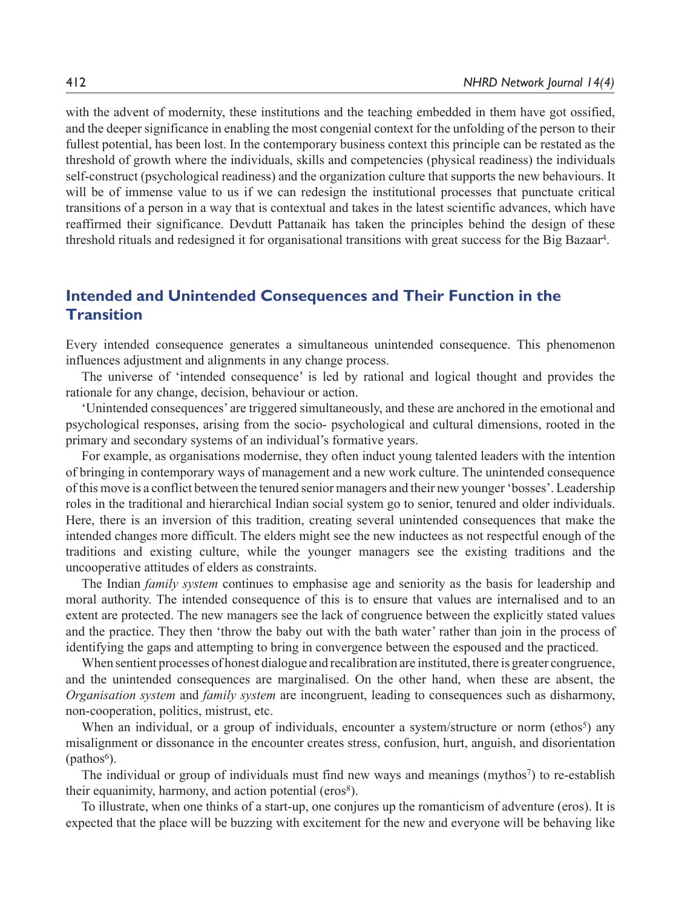with the advent of modernity, these institutions and the teaching embedded in them have got ossified, and the deeper significance in enabling the most congenial context for the unfolding of the person to their fullest potential, has been lost. In the contemporary business context this principle can be restated as the threshold of growth where the individuals, skills and competencies (physical readiness) the individuals self-construct (psychological readiness) and the organization culture that supports the new behaviours. It will be of immense value to us if we can redesign the institutional processes that punctuate critical transitions of a person in a way that is contextual and takes in the latest scientific advances, which have reaffirmed their significance. Devdutt Pattanaik has taken the principles behind the design of these threshold rituals and redesigned it for organisational transitions with great success for the Big Bazaar4.

## **Intended and Unintended Consequences and Their Function in the Transition**

Every intended consequence generates a simultaneous unintended consequence. This phenomenon influences adjustment and alignments in any change process.

The universe of 'intended consequence' is led by rational and logical thought and provides the rationale for any change, decision, behaviour or action.

'Unintended consequences' are triggered simultaneously, and these are anchored in the emotional and psychological responses, arising from the socio- psychological and cultural dimensions, rooted in the primary and secondary systems of an individual's formative years.

For example, as organisations modernise, they often induct young talented leaders with the intention of bringing in contemporary ways of management and a new work culture. The unintended consequence of this move is a conflict between the tenured senior managers and their new younger 'bosses'. Leadership roles in the traditional and hierarchical Indian social system go to senior, tenured and older individuals. Here, there is an inversion of this tradition, creating several unintended consequences that make the intended changes more difficult. The elders might see the new inductees as not respectful enough of the traditions and existing culture, while the younger managers see the existing traditions and the uncooperative attitudes of elders as constraints.

The Indian *family system* continues to emphasise age and seniority as the basis for leadership and moral authority. The intended consequence of this is to ensure that values are internalised and to an extent are protected. The new managers see the lack of congruence between the explicitly stated values and the practice. They then 'throw the baby out with the bath water' rather than join in the process of identifying the gaps and attempting to bring in convergence between the espoused and the practiced.

When sentient processes of honest dialogue and recalibration are instituted, there is greater congruence, and the unintended consequences are marginalised. On the other hand, when these are absent, the *Organisation system* and *family system* are incongruent, leading to consequences such as disharmony, non-cooperation, politics, mistrust, etc.

When an individual, or a group of individuals, encounter a system/structure or norm (ethos<sup>5</sup>) any misalignment or dissonance in the encounter creates stress, confusion, hurt, anguish, and disorientation  $(pathos<sup>6</sup>)$ .

The individual or group of individuals must find new ways and meanings (mythos<sup>7</sup>) to re-establish their equanimity, harmony, and action potential (eros<sup>8</sup>).

To illustrate, when one thinks of a start-up, one conjures up the romanticism of adventure (eros). It is expected that the place will be buzzing with excitement for the new and everyone will be behaving like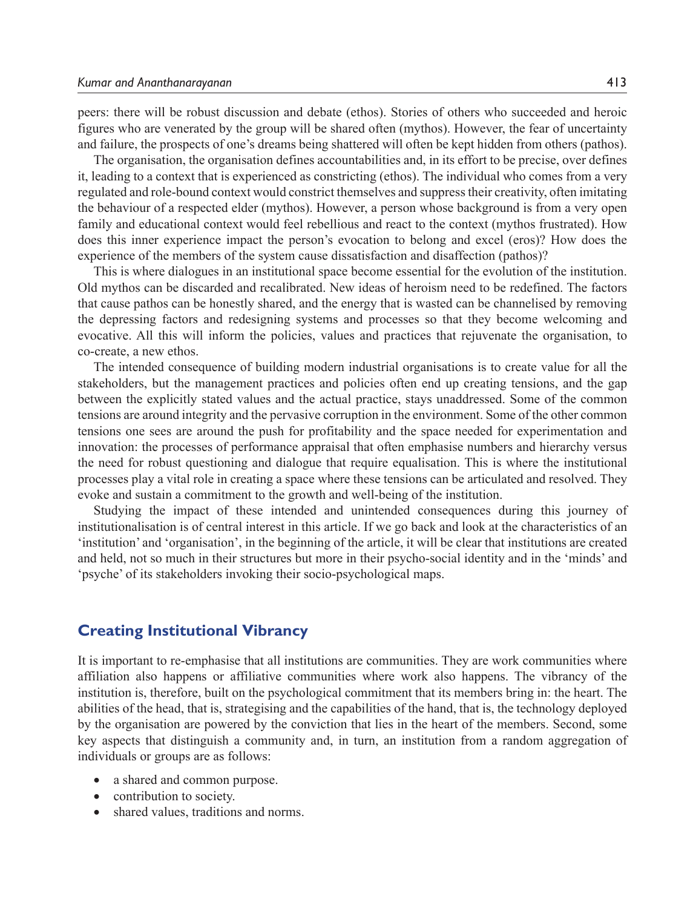peers: there will be robust discussion and debate (ethos). Stories of others who succeeded and heroic figures who are venerated by the group will be shared often (mythos). However, the fear of uncertainty and failure, the prospects of one's dreams being shattered will often be kept hidden from others (pathos).

The organisation, the organisation defines accountabilities and, in its effort to be precise, over defines it, leading to a context that is experienced as constricting (ethos). The individual who comes from a very regulated and role-bound context would constrict themselves and suppress their creativity, often imitating the behaviour of a respected elder (mythos). However, a person whose background is from a very open family and educational context would feel rebellious and react to the context (mythos frustrated). How does this inner experience impact the person's evocation to belong and excel (eros)? How does the experience of the members of the system cause dissatisfaction and disaffection (pathos)?

This is where dialogues in an institutional space become essential for the evolution of the institution. Old mythos can be discarded and recalibrated. New ideas of heroism need to be redefined. The factors that cause pathos can be honestly shared, and the energy that is wasted can be channelised by removing the depressing factors and redesigning systems and processes so that they become welcoming and evocative. All this will inform the policies, values and practices that rejuvenate the organisation, to co-create, a new ethos.

The intended consequence of building modern industrial organisations is to create value for all the stakeholders, but the management practices and policies often end up creating tensions, and the gap between the explicitly stated values and the actual practice, stays unaddressed. Some of the common tensions are around integrity and the pervasive corruption in the environment. Some of the other common tensions one sees are around the push for profitability and the space needed for experimentation and innovation: the processes of performance appraisal that often emphasise numbers and hierarchy versus the need for robust questioning and dialogue that require equalisation. This is where the institutional processes play a vital role in creating a space where these tensions can be articulated and resolved. They evoke and sustain a commitment to the growth and well-being of the institution.

Studying the impact of these intended and unintended consequences during this journey of institutionalisation is of central interest in this article. If we go back and look at the characteristics of an 'institution' and 'organisation', in the beginning of the article, it will be clear that institutions are created and held, not so much in their structures but more in their psycho-social identity and in the 'minds' and 'psyche' of its stakeholders invoking their socio-psychological maps.

### **Creating Institutional Vibrancy**

It is important to re-emphasise that all institutions are communities. They are work communities where affiliation also happens or affiliative communities where work also happens. The vibrancy of the institution is, therefore, built on the psychological commitment that its members bring in: the heart. The abilities of the head, that is, strategising and the capabilities of the hand, that is, the technology deployed by the organisation are powered by the conviction that lies in the heart of the members. Second, some key aspects that distinguish a community and, in turn, an institution from a random aggregation of individuals or groups are as follows:

- a shared and common purpose.
- contribution to society.
- shared values, traditions and norms.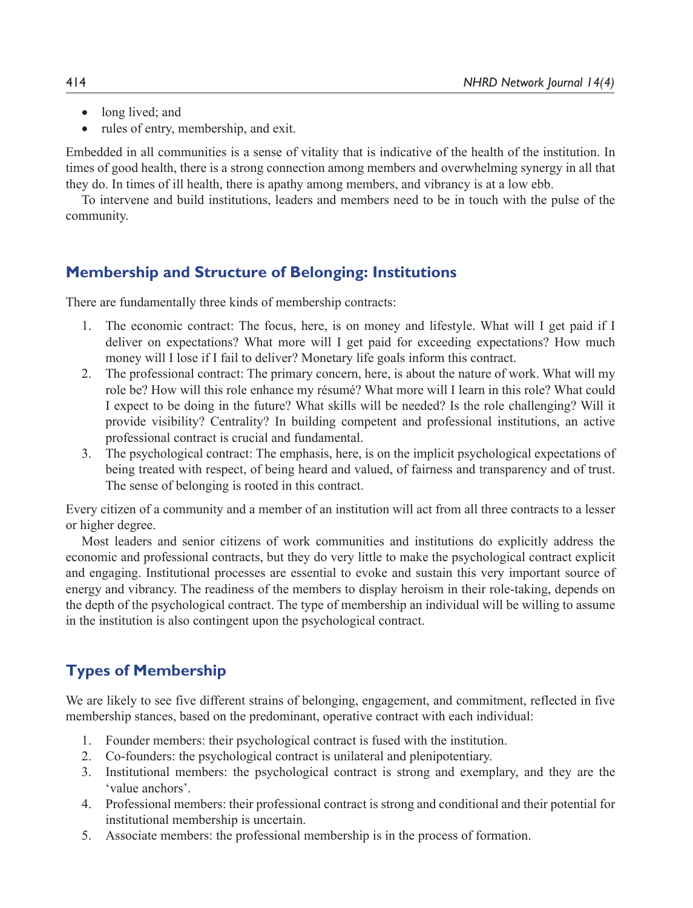- long lived; and
- rules of entry, membership, and exit.

Embedded in all communities is a sense of vitality that is indicative of the health of the institution. In times of good health, there is a strong connection among members and overwhelming synergy in all that they do. In times of ill health, there is apathy among members, and vibrancy is at a low ebb.

To intervene and build institutions, leaders and members need to be in touch with the pulse of the community.

# **Membership and Structure of Belonging: Institutions**

There are fundamentally three kinds of membership contracts:

- 1. The economic contract: The focus, here, is on money and lifestyle. What will I get paid if I deliver on expectations? What more will I get paid for exceeding expectations? How much money will I lose if I fail to deliver? Monetary life goals inform this contract.
- 2. The professional contract: The primary concern, here, is about the nature of work. What will my role be? How will this role enhance my résumé? What more will I learn in this role? What could I expect to be doing in the future? What skills will be needed? Is the role challenging? Will it provide visibility? Centrality? In building competent and professional institutions, an active professional contract is crucial and fundamental.
- 3. The psychological contract: The emphasis, here, is on the implicit psychological expectations of being treated with respect, of being heard and valued, of fairness and transparency and of trust. The sense of belonging is rooted in this contract.

Every citizen of a community and a member of an institution will act from all three contracts to a lesser or higher degree.

Most leaders and senior citizens of work communities and institutions do explicitly address the economic and professional contracts, but they do very little to make the psychological contract explicit and engaging. Institutional processes are essential to evoke and sustain this very important source of energy and vibrancy. The readiness of the members to display heroism in their role-taking, depends on the depth of the psychological contract. The type of membership an individual will be willing to assume in the institution is also contingent upon the psychological contract.

# **Types of Membership**

We are likely to see five different strains of belonging, engagement, and commitment, reflected in five membership stances, based on the predominant, operative contract with each individual:

- 1. Founder members: their psychological contract is fused with the institution.
- 2. Co-founders: the psychological contract is unilateral and plenipotentiary.
- 3. Institutional members: the psychological contract is strong and exemplary, and they are the 'value anchors'.
- 4. Professional members: their professional contract is strong and conditional and their potential for institutional membership is uncertain.
- 5. Associate members: the professional membership is in the process of formation.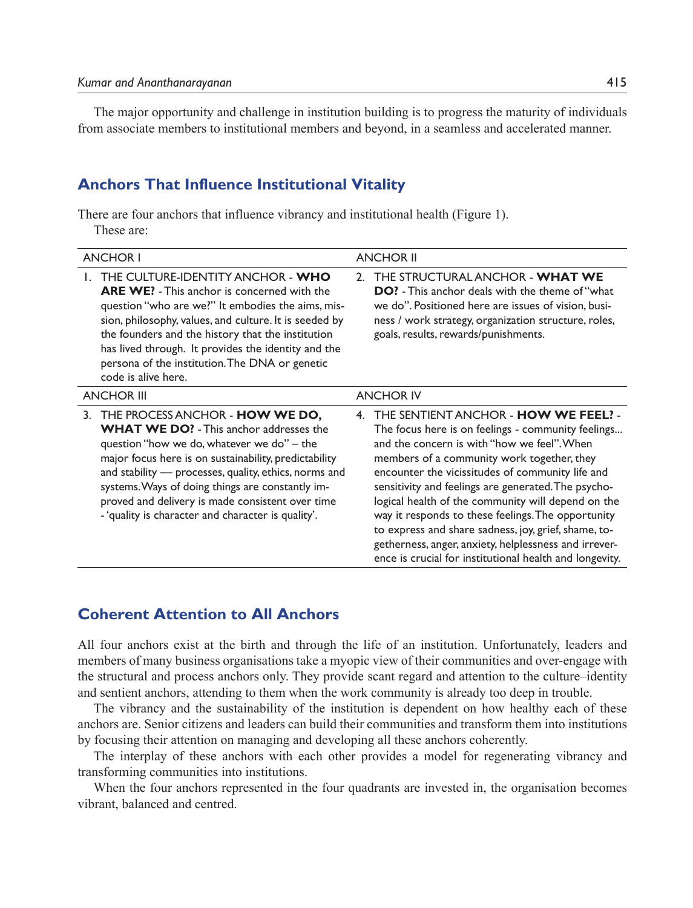The major opportunity and challenge in institution building is to progress the maturity of individuals from associate members to institutional members and beyond, in a seamless and accelerated manner.

## **Anchors That Influence Institutional Vitality**

There are four anchors that influence vibrancy and institutional health (Figure 1). These are:

| <b>ANCHOR I</b>                                                                                                                                                                                                                                                                                                                                                                                                           | <b>ANCHOR II</b>                                                                                                                                                                                                                                                                                                                                                                                                                                                                                                                                                                                        |
|---------------------------------------------------------------------------------------------------------------------------------------------------------------------------------------------------------------------------------------------------------------------------------------------------------------------------------------------------------------------------------------------------------------------------|---------------------------------------------------------------------------------------------------------------------------------------------------------------------------------------------------------------------------------------------------------------------------------------------------------------------------------------------------------------------------------------------------------------------------------------------------------------------------------------------------------------------------------------------------------------------------------------------------------|
| THE CULTURE-IDENTITY ANCHOR - WHO<br><b>ARE WE!</b> - This anchor is concerned with the<br>question "who are we?" It embodies the aims, mis-<br>sion, philosophy, values, and culture. It is seeded by<br>the founders and the history that the institution<br>has lived through. It provides the identity and the<br>persona of the institution. The DNA or genetic<br>code is alive here.                               | THE STRUCTURAL ANCHOR - WHAT WE<br>$\mathcal{L}$<br><b>DO?</b> - This anchor deals with the theme of "what<br>we do". Positioned here are issues of vision, busi-<br>ness / work strategy, organization structure, roles,<br>goals, results, rewards/punishments.                                                                                                                                                                                                                                                                                                                                       |
| <b>ANCHOR III</b>                                                                                                                                                                                                                                                                                                                                                                                                         | <b>ANCHOR IV</b>                                                                                                                                                                                                                                                                                                                                                                                                                                                                                                                                                                                        |
| 3. THE PROCESS ANCHOR - <b>HOW WE DO,</b><br><b>WHAT WE DO?</b> - This anchor addresses the<br>question "how we do, whatever we do" – the<br>major focus here is on sustainability, predictability<br>and stability - processes, quality, ethics, norms and<br>systems. Ways of doing things are constantly im-<br>proved and delivery is made consistent over time<br>- 'quality is character and character is quality'. | THE SENTIENT ANCHOR - <b>HOW WE FEEL?</b> -<br>4.<br>The focus here is on feelings - community feelings<br>and the concern is with "how we feel". When<br>members of a community work together, they<br>encounter the vicissitudes of community life and<br>sensitivity and feelings are generated. The psycho-<br>logical health of the community will depend on the<br>way it responds to these feelings. The opportunity<br>to express and share sadness, joy, grief, shame, to-<br>getherness, anger, anxiety, helplessness and irrever-<br>ence is crucial for institutional health and longevity. |

# **Coherent Attention to All Anchors**

All four anchors exist at the birth and through the life of an institution. Unfortunately, leaders and members of many business organisations take a myopic view of their communities and over-engage with the structural and process anchors only. They provide scant regard and attention to the culture–identity and sentient anchors, attending to them when the work community is already too deep in trouble.

The vibrancy and the sustainability of the institution is dependent on how healthy each of these anchors are. Senior citizens and leaders can build their communities and transform them into institutions by focusing their attention on managing and developing all these anchors coherently.

The interplay of these anchors with each other provides a model for regenerating vibrancy and transforming communities into institutions.

When the four anchors represented in the four quadrants are invested in, the organisation becomes vibrant, balanced and centred.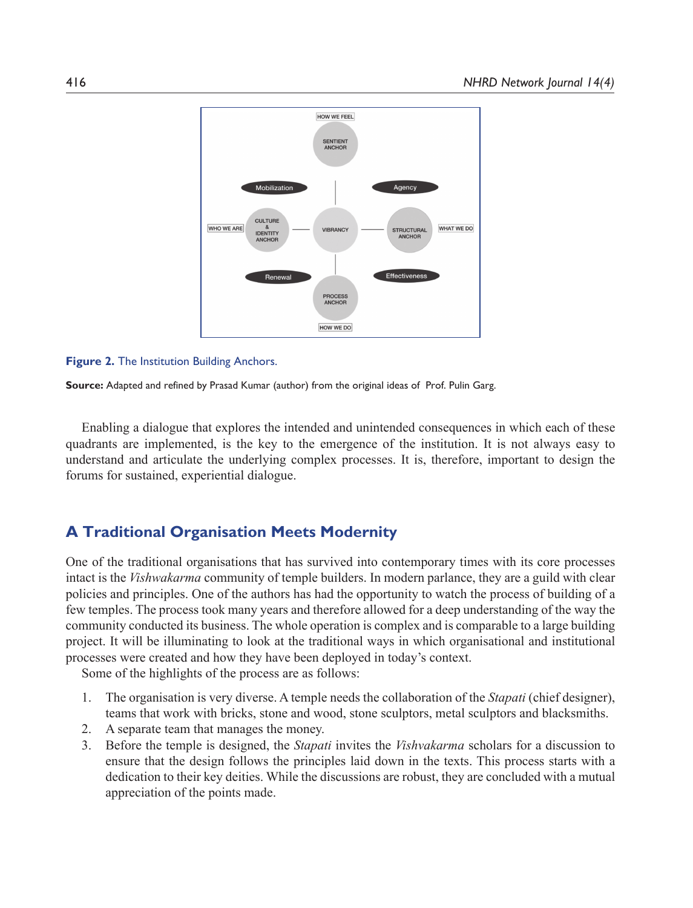

#### **Figure 2.** The Institution Building Anchors.

**Source:** Adapted and refined by Prasad Kumar (author) from the original ideas of Prof. Pulin Garg.

Enabling a dialogue that explores the intended and unintended consequences in which each of these quadrants are implemented, is the key to the emergence of the institution. It is not always easy to understand and articulate the underlying complex processes. It is, therefore, important to design the forums for sustained, experiential dialogue.

## **A Traditional Organisation Meets Modernity**

One of the traditional organisations that has survived into contemporary times with its core processes intact is the *Vishwakarma* community of temple builders. In modern parlance, they are a guild with clear policies and principles. One of the authors has had the opportunity to watch the process of building of a few temples. The process took many years and therefore allowed for a deep understanding of the way the community conducted its business. The whole operation is complex and is comparable to a large building project. It will be illuminating to look at the traditional ways in which organisational and institutional processes were created and how they have been deployed in today's context.

Some of the highlights of the process are as follows:

- 1. The organisation is very diverse. A temple needs the collaboration of the *Stapati* (chief designer), teams that work with bricks, stone and wood, stone sculptors, metal sculptors and blacksmiths.
- 2. A separate team that manages the money.
- 3. Before the temple is designed, the *Stapati* invites the *Vishvakarma* scholars for a discussion to ensure that the design follows the principles laid down in the texts. This process starts with a dedication to their key deities. While the discussions are robust, they are concluded with a mutual appreciation of the points made.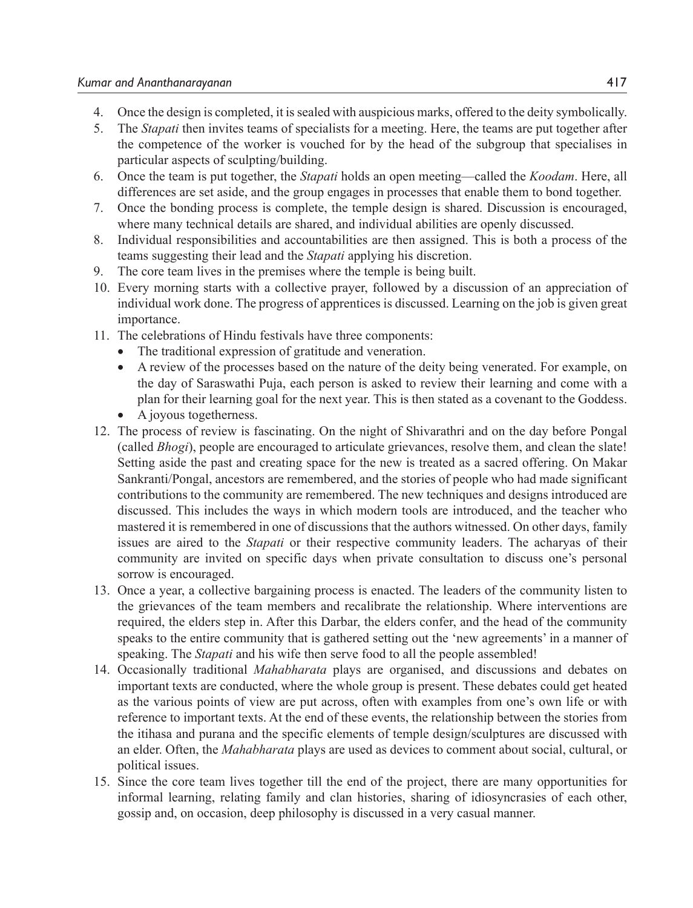- 4. Once the design is completed, it is sealed with auspicious marks, offered to the deity symbolically.
- 5. The *Stapati* then invites teams of specialists for a meeting. Here, the teams are put together after the competence of the worker is vouched for by the head of the subgroup that specialises in particular aspects of sculpting/building.
- 6. Once the team is put together, the *Stapati* holds an open meeting—called the *Koodam*. Here, all differences are set aside, and the group engages in processes that enable them to bond together.
- 7. Once the bonding process is complete, the temple design is shared. Discussion is encouraged, where many technical details are shared, and individual abilities are openly discussed.
- 8. Individual responsibilities and accountabilities are then assigned. This is both a process of the teams suggesting their lead and the *Stapati* applying his discretion.
- 9. The core team lives in the premises where the temple is being built.
- 10. Every morning starts with a collective prayer, followed by a discussion of an appreciation of individual work done. The progress of apprentices is discussed. Learning on the job is given great importance.
- 11. The celebrations of Hindu festivals have three components:
	- The traditional expression of gratitude and veneration.
	- A review of the processes based on the nature of the deity being venerated. For example, on the day of Saraswathi Puja, each person is asked to review their learning and come with a plan for their learning goal for the next year. This is then stated as a covenant to the Goddess.
	- A joyous togetherness.
- 12. The process of review is fascinating. On the night of Shivarathri and on the day before Pongal (called *Bhogi*), people are encouraged to articulate grievances, resolve them, and clean the slate! Setting aside the past and creating space for the new is treated as a sacred offering. On Makar Sankranti/Pongal, ancestors are remembered, and the stories of people who had made significant contributions to the community are remembered. The new techniques and designs introduced are discussed. This includes the ways in which modern tools are introduced, and the teacher who mastered it is remembered in one of discussions that the authors witnessed. On other days, family issues are aired to the *Stapati* or their respective community leaders. The acharyas of their community are invited on specific days when private consultation to discuss one's personal sorrow is encouraged.
- 13. Once a year, a collective bargaining process is enacted. The leaders of the community listen to the grievances of the team members and recalibrate the relationship. Where interventions are required, the elders step in. After this Darbar, the elders confer, and the head of the community speaks to the entire community that is gathered setting out the 'new agreements' in a manner of speaking. The *Stapati* and his wife then serve food to all the people assembled!
- 14. Occasionally traditional *Mahabharata* plays are organised, and discussions and debates on important texts are conducted, where the whole group is present. These debates could get heated as the various points of view are put across, often with examples from one's own life or with reference to important texts. At the end of these events, the relationship between the stories from the itihasa and purana and the specific elements of temple design/sculptures are discussed with an elder. Often, the *Mahabharata* plays are used as devices to comment about social, cultural, or political issues.
- 15. Since the core team lives together till the end of the project, there are many opportunities for informal learning, relating family and clan histories, sharing of idiosyncrasies of each other, gossip and, on occasion, deep philosophy is discussed in a very casual manner.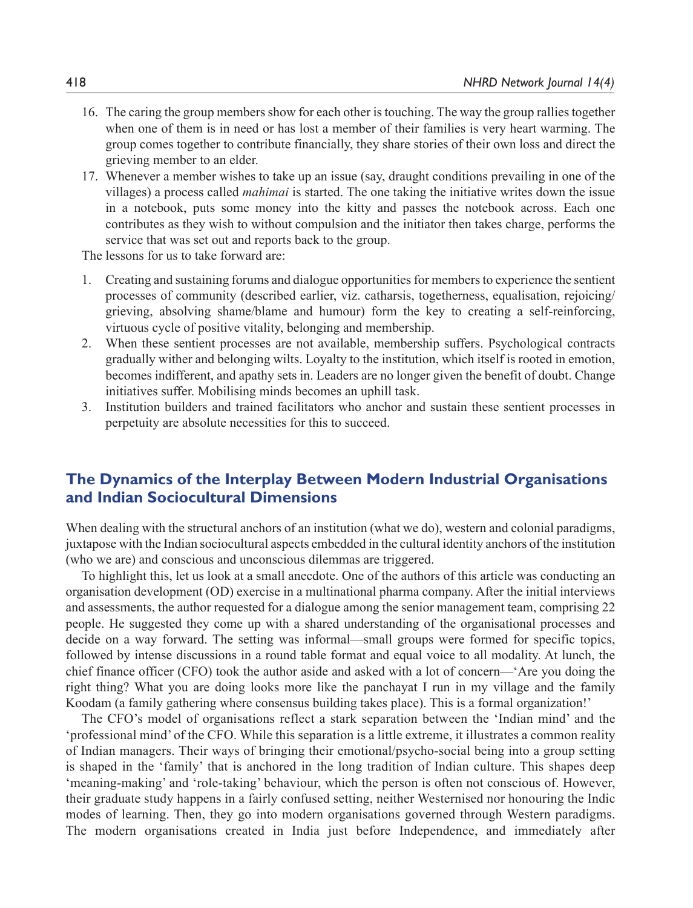- 16. The caring the group members show for each other is touching. The way the group rallies together when one of them is in need or has lost a member of their families is very heart warming. The group comes together to contribute financially, they share stories of their own loss and direct the grieving member to an elder.
- 17. Whenever a member wishes to take up an issue (say, draught conditions prevailing in one of the villages) a process called *mahimai* is started. The one taking the initiative writes down the issue in a notebook, puts some money into the kitty and passes the notebook across. Each one contributes as they wish to without compulsion and the initiator then takes charge, performs the service that was set out and reports back to the group.

The lessons for us to take forward are:

- 1. Creating and sustaining forums and dialogue opportunities for members to experience the sentient processes of community (described earlier, viz. catharsis, togetherness, equalisation, rejoicing/ grieving, absolving shame/blame and humour) form the key to creating a self-reinforcing, virtuous cycle of positive vitality, belonging and membership.
- 2. When these sentient processes are not available, membership suffers. Psychological contracts gradually wither and belonging wilts. Loyalty to the institution, which itself is rooted in emotion, becomes indifferent, and apathy sets in. Leaders are no longer given the benefit of doubt. Change initiatives suffer. Mobilising minds becomes an uphill task.
- 3. Institution builders and trained facilitators who anchor and sustain these sentient processes in perpetuity are absolute necessities for this to succeed.

# **The Dynamics of the Interplay Between Modern Industrial Organisations and Indian Sociocultural Dimensions**

When dealing with the structural anchors of an institution (what we do), western and colonial paradigms, juxtapose with the Indian sociocultural aspects embedded in the cultural identity anchors of the institution (who we are) and conscious and unconscious dilemmas are triggered.

To highlight this, let us look at a small anecdote. One of the authors of this article was conducting an organisation development (OD) exercise in a multinational pharma company. After the initial interviews and assessments, the author requested for a dialogue among the senior management team, comprising 22 people. He suggested they come up with a shared understanding of the organisational processes and decide on a way forward. The setting was informal—small groups were formed for specific topics, followed by intense discussions in a round table format and equal voice to all modality. At lunch, the chief finance officer (CFO) took the author aside and asked with a lot of concern—'Are you doing the right thing? What you are doing looks more like the panchayat I run in my village and the family Koodam (a family gathering where consensus building takes place). This is a formal organization!'

The CFO's model of organisations reflect a stark separation between the 'Indian mind' and the 'professional mind' of the CFO. While this separation is a little extreme, it illustrates a common reality of Indian managers. Their ways of bringing their emotional/psycho-social being into a group setting is shaped in the 'family' that is anchored in the long tradition of Indian culture. This shapes deep 'meaning-making' and 'role-taking' behaviour, which the person is often not conscious of. However, their graduate study happens in a fairly confused setting, neither Westernised nor honouring the Indic modes of learning. Then, they go into modern organisations governed through Western paradigms. The modern organisations created in India just before Independence, and immediately after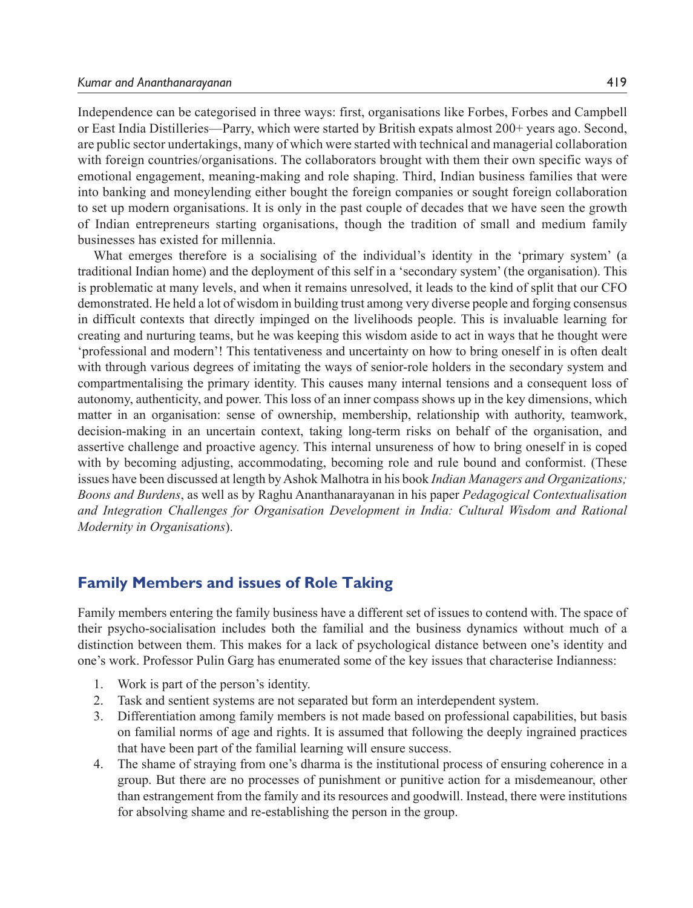Independence can be categorised in three ways: first, organisations like Forbes, Forbes and Campbell or East India Distilleries—Parry, which were started by British expats almost 200+ years ago. Second, are public sector undertakings, many of which were started with technical and managerial collaboration with foreign countries/organisations. The collaborators brought with them their own specific ways of emotional engagement, meaning-making and role shaping. Third, Indian business families that were into banking and moneylending either bought the foreign companies or sought foreign collaboration to set up modern organisations. It is only in the past couple of decades that we have seen the growth of Indian entrepreneurs starting organisations, though the tradition of small and medium family businesses has existed for millennia.

What emerges therefore is a socialising of the individual's identity in the 'primary system' (a traditional Indian home) and the deployment of this self in a 'secondary system' (the organisation). This is problematic at many levels, and when it remains unresolved, it leads to the kind of split that our CFO demonstrated. He held a lot of wisdom in building trust among very diverse people and forging consensus in difficult contexts that directly impinged on the livelihoods people. This is invaluable learning for creating and nurturing teams, but he was keeping this wisdom aside to act in ways that he thought were 'professional and modern'! This tentativeness and uncertainty on how to bring oneself in is often dealt with through various degrees of imitating the ways of senior-role holders in the secondary system and compartmentalising the primary identity. This causes many internal tensions and a consequent loss of autonomy, authenticity, and power. This loss of an inner compass shows up in the key dimensions, which matter in an organisation: sense of ownership, membership, relationship with authority, teamwork, decision-making in an uncertain context, taking long-term risks on behalf of the organisation, and assertive challenge and proactive agency. This internal unsureness of how to bring oneself in is coped with by becoming adjusting, accommodating, becoming role and rule bound and conformist. (These issues have been discussed at length by Ashok Malhotra in his book *Indian Managers and Organizations; Boons and Burdens*, as well as by Raghu Ananthanarayanan in his paper *Pedagogical Contextualisation and Integration Challenges for Organisation Development in India: Cultural Wisdom and Rational Modernity in Organisations*).

## **Family Members and issues of Role Taking**

Family members entering the family business have a different set of issues to contend with. The space of their psycho-socialisation includes both the familial and the business dynamics without much of a distinction between them. This makes for a lack of psychological distance between one's identity and one's work. Professor Pulin Garg has enumerated some of the key issues that characterise Indianness:

- 1. Work is part of the person's identity.
- 2. Task and sentient systems are not separated but form an interdependent system.
- 3. Differentiation among family members is not made based on professional capabilities, but basis on familial norms of age and rights. It is assumed that following the deeply ingrained practices that have been part of the familial learning will ensure success.
- 4. The shame of straying from one's dharma is the institutional process of ensuring coherence in a group. But there are no processes of punishment or punitive action for a misdemeanour, other than estrangement from the family and its resources and goodwill. Instead, there were institutions for absolving shame and re-establishing the person in the group.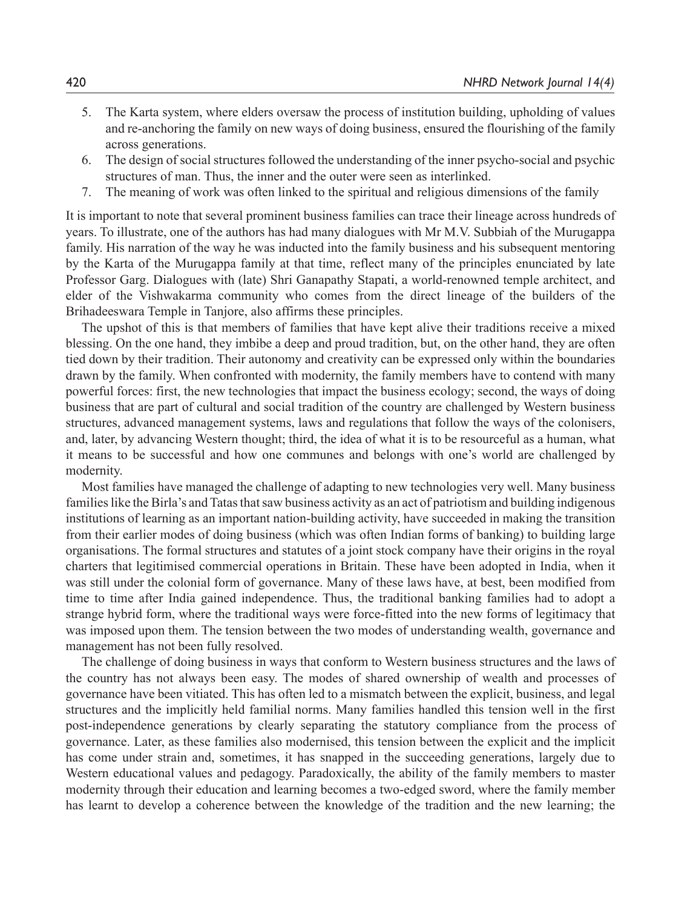- 5. The Karta system, where elders oversaw the process of institution building, upholding of values and re-anchoring the family on new ways of doing business, ensured the flourishing of the family across generations.
- 6. The design of social structures followed the understanding of the inner psycho-social and psychic structures of man. Thus, the inner and the outer were seen as interlinked.
- 7. The meaning of work was often linked to the spiritual and religious dimensions of the family

It is important to note that several prominent business families can trace their lineage across hundreds of years. To illustrate, one of the authors has had many dialogues with Mr M.V. Subbiah of the Murugappa family. His narration of the way he was inducted into the family business and his subsequent mentoring by the Karta of the Murugappa family at that time, reflect many of the principles enunciated by late Professor Garg. Dialogues with (late) Shri Ganapathy Stapati, a world-renowned temple architect, and elder of the Vishwakarma community who comes from the direct lineage of the builders of the Brihadeeswara Temple in Tanjore, also affirms these principles.

The upshot of this is that members of families that have kept alive their traditions receive a mixed blessing. On the one hand, they imbibe a deep and proud tradition, but, on the other hand, they are often tied down by their tradition. Their autonomy and creativity can be expressed only within the boundaries drawn by the family. When confronted with modernity, the family members have to contend with many powerful forces: first, the new technologies that impact the business ecology; second, the ways of doing business that are part of cultural and social tradition of the country are challenged by Western business structures, advanced management systems, laws and regulations that follow the ways of the colonisers, and, later, by advancing Western thought; third, the idea of what it is to be resourceful as a human, what it means to be successful and how one communes and belongs with one's world are challenged by modernity.

Most families have managed the challenge of adapting to new technologies very well. Many business families like the Birla's and Tatas that saw business activity as an act of patriotism and building indigenous institutions of learning as an important nation-building activity, have succeeded in making the transition from their earlier modes of doing business (which was often Indian forms of banking) to building large organisations. The formal structures and statutes of a joint stock company have their origins in the royal charters that legitimised commercial operations in Britain. These have been adopted in India, when it was still under the colonial form of governance. Many of these laws have, at best, been modified from time to time after India gained independence. Thus, the traditional banking families had to adopt a strange hybrid form, where the traditional ways were force-fitted into the new forms of legitimacy that was imposed upon them. The tension between the two modes of understanding wealth, governance and management has not been fully resolved.

The challenge of doing business in ways that conform to Western business structures and the laws of the country has not always been easy. The modes of shared ownership of wealth and processes of governance have been vitiated. This has often led to a mismatch between the explicit, business, and legal structures and the implicitly held familial norms. Many families handled this tension well in the first post-independence generations by clearly separating the statutory compliance from the process of governance. Later, as these families also modernised, this tension between the explicit and the implicit has come under strain and, sometimes, it has snapped in the succeeding generations, largely due to Western educational values and pedagogy. Paradoxically, the ability of the family members to master modernity through their education and learning becomes a two-edged sword, where the family member has learnt to develop a coherence between the knowledge of the tradition and the new learning; the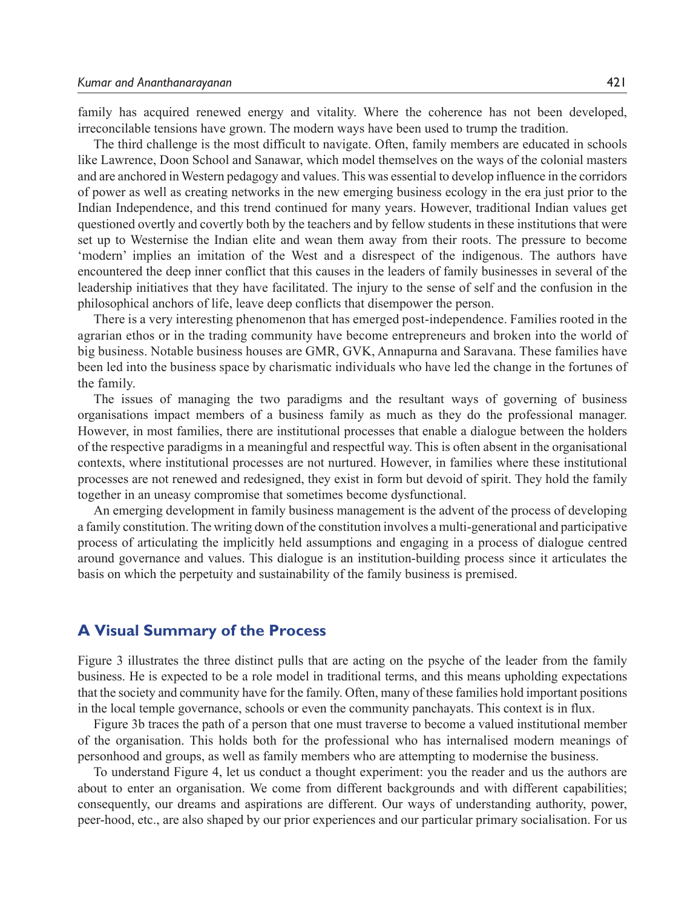family has acquired renewed energy and vitality. Where the coherence has not been developed, irreconcilable tensions have grown. The modern ways have been used to trump the tradition.

The third challenge is the most difficult to navigate. Often, family members are educated in schools like Lawrence, Doon School and Sanawar, which model themselves on the ways of the colonial masters and are anchored in Western pedagogy and values. This was essential to develop influence in the corridors of power as well as creating networks in the new emerging business ecology in the era just prior to the Indian Independence, and this trend continued for many years. However, traditional Indian values get questioned overtly and covertly both by the teachers and by fellow students in these institutions that were set up to Westernise the Indian elite and wean them away from their roots. The pressure to become 'modern' implies an imitation of the West and a disrespect of the indigenous. The authors have encountered the deep inner conflict that this causes in the leaders of family businesses in several of the leadership initiatives that they have facilitated. The injury to the sense of self and the confusion in the philosophical anchors of life, leave deep conflicts that disempower the person.

There is a very interesting phenomenon that has emerged post-independence. Families rooted in the agrarian ethos or in the trading community have become entrepreneurs and broken into the world of big business. Notable business houses are GMR, GVK, Annapurna and Saravana. These families have been led into the business space by charismatic individuals who have led the change in the fortunes of the family.

The issues of managing the two paradigms and the resultant ways of governing of business organisations impact members of a business family as much as they do the professional manager. However, in most families, there are institutional processes that enable a dialogue between the holders of the respective paradigms in a meaningful and respectful way. This is often absent in the organisational contexts, where institutional processes are not nurtured. However, in families where these institutional processes are not renewed and redesigned, they exist in form but devoid of spirit. They hold the family together in an uneasy compromise that sometimes become dysfunctional.

An emerging development in family business management is the advent of the process of developing a family constitution. The writing down of the constitution involves a multi-generational and participative process of articulating the implicitly held assumptions and engaging in a process of dialogue centred around governance and values. This dialogue is an institution-building process since it articulates the basis on which the perpetuity and sustainability of the family business is premised.

### **A Visual Summary of the Process**

Figure 3 illustrates the three distinct pulls that are acting on the psyche of the leader from the family business. He is expected to be a role model in traditional terms, and this means upholding expectations that the society and community have for the family. Often, many of these families hold important positions in the local temple governance, schools or even the community panchayats. This context is in flux.

Figure 3b traces the path of a person that one must traverse to become a valued institutional member of the organisation. This holds both for the professional who has internalised modern meanings of personhood and groups, as well as family members who are attempting to modernise the business.

To understand Figure 4, let us conduct a thought experiment: you the reader and us the authors are about to enter an organisation. We come from different backgrounds and with different capabilities; consequently, our dreams and aspirations are different. Our ways of understanding authority, power, peer-hood, etc., are also shaped by our prior experiences and our particular primary socialisation. For us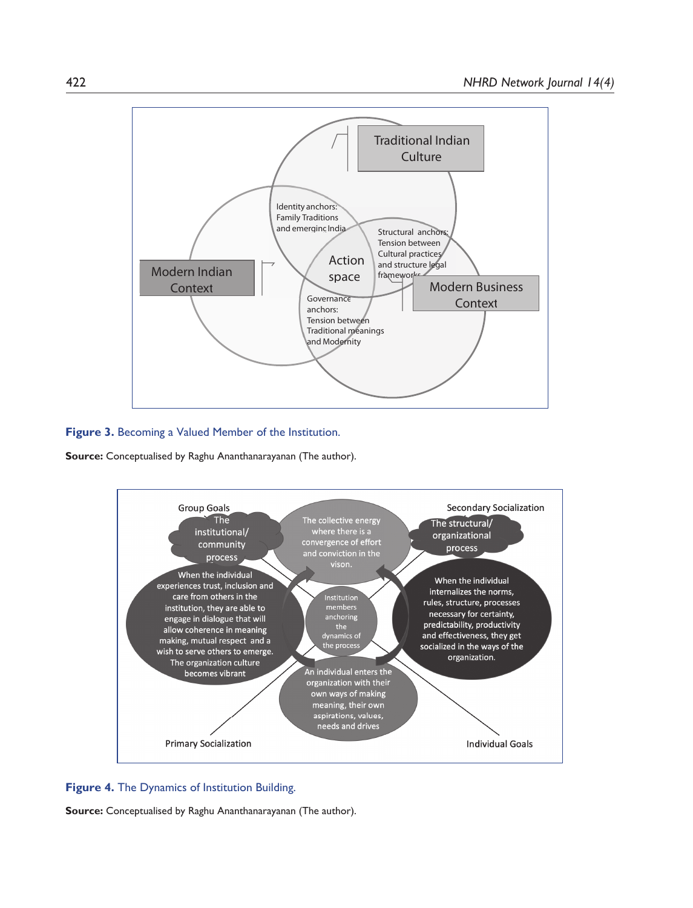

#### **Figure 3.** Becoming a Valued Member of the Institution.

**Source:** Conceptualised by Raghu Ananthanarayanan (The author).



#### **Figure 4.** The Dynamics of Institution Building.

**Source:** Conceptualised by Raghu Ananthanarayanan (The author).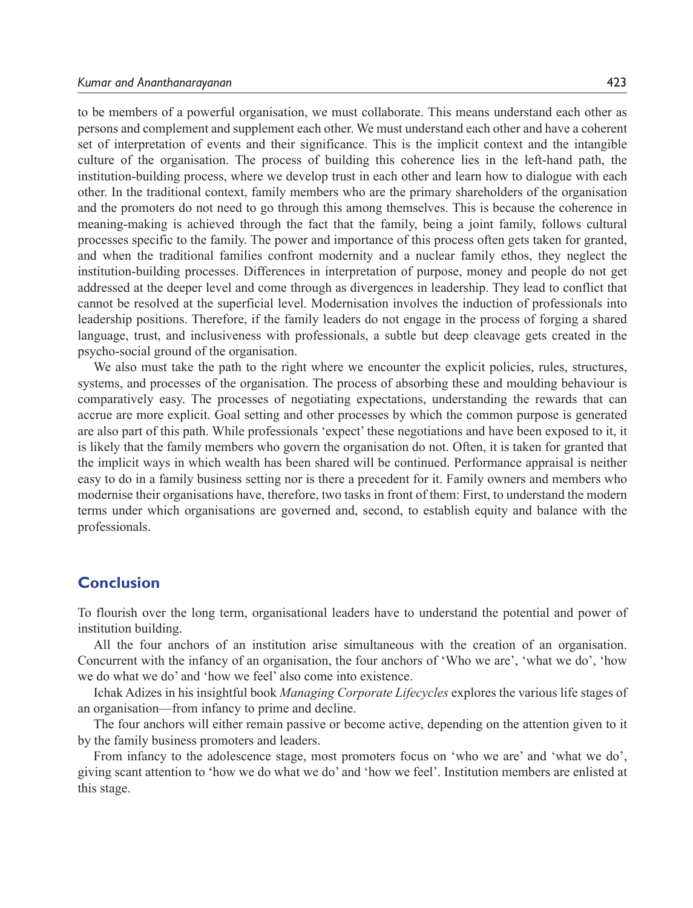to be members of a powerful organisation, we must collaborate. This means understand each other as persons and complement and supplement each other. We must understand each other and have a coherent set of interpretation of events and their significance. This is the implicit context and the intangible culture of the organisation. The process of building this coherence lies in the left-hand path, the institution-building process, where we develop trust in each other and learn how to dialogue with each other. In the traditional context, family members who are the primary shareholders of the organisation and the promoters do not need to go through this among themselves. This is because the coherence in meaning-making is achieved through the fact that the family, being a joint family, follows cultural processes specific to the family. The power and importance of this process often gets taken for granted, and when the traditional families confront modernity and a nuclear family ethos, they neglect the institution-building processes. Differences in interpretation of purpose, money and people do not get addressed at the deeper level and come through as divergences in leadership. They lead to conflict that cannot be resolved at the superficial level. Modernisation involves the induction of professionals into leadership positions. Therefore, if the family leaders do not engage in the process of forging a shared language, trust, and inclusiveness with professionals, a subtle but deep cleavage gets created in the psycho-social ground of the organisation.

We also must take the path to the right where we encounter the explicit policies, rules, structures, systems, and processes of the organisation. The process of absorbing these and moulding behaviour is comparatively easy. The processes of negotiating expectations, understanding the rewards that can accrue are more explicit. Goal setting and other processes by which the common purpose is generated are also part of this path. While professionals 'expect' these negotiations and have been exposed to it, it is likely that the family members who govern the organisation do not. Often, it is taken for granted that the implicit ways in which wealth has been shared will be continued. Performance appraisal is neither easy to do in a family business setting nor is there a precedent for it. Family owners and members who modernise their organisations have, therefore, two tasks in front of them: First, to understand the modern terms under which organisations are governed and, second, to establish equity and balance with the professionals.

## **Conclusion**

To flourish over the long term, organisational leaders have to understand the potential and power of institution building.

All the four anchors of an institution arise simultaneous with the creation of an organisation. Concurrent with the infancy of an organisation, the four anchors of 'Who we are', 'what we do', 'how we do what we do' and 'how we feel' also come into existence.

Ichak Adizes in his insightful book *Managing Corporate Lifecycles* explores the various life stages of an organisation—from infancy to prime and decline.

The four anchors will either remain passive or become active, depending on the attention given to it by the family business promoters and leaders.

From infancy to the adolescence stage, most promoters focus on 'who we are' and 'what we do', giving scant attention to 'how we do what we do' and 'how we feel'. Institution members are enlisted at this stage.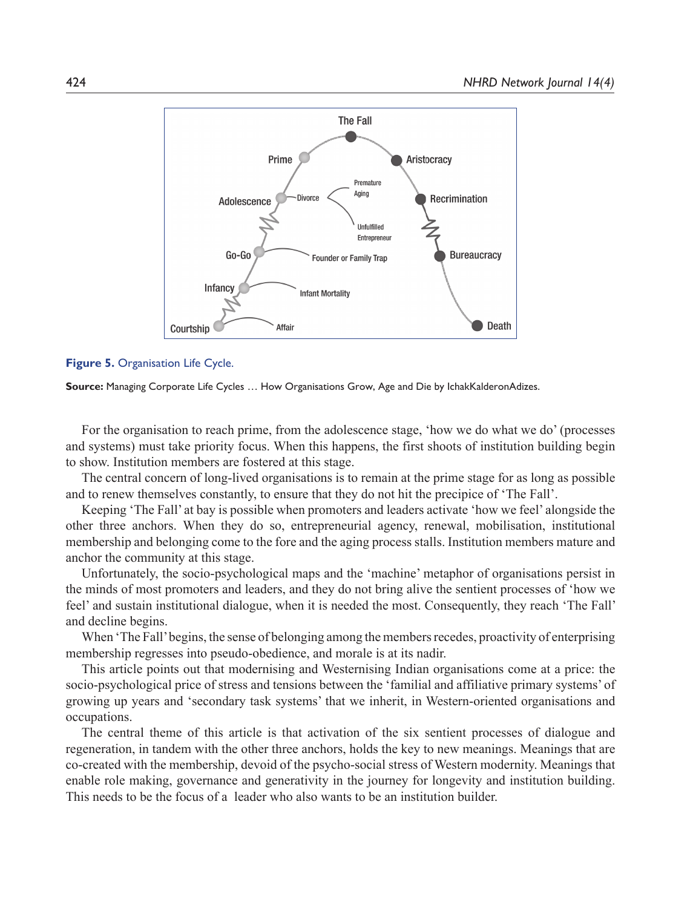

**Figure 5.** Organisation Life Cycle.

**Source:** Managing Corporate Life Cycles … How Organisations Grow, Age and Die by IchakKalderonAdizes.

 For the organisation to reach prime, from the adolescence stage, 'how we do what we do' (processes and systems) must take priority focus. When this happens, the first shoots of institution building begin to show. Institution members are fostered at this stage.

 The central concern of long-lived organisations is to remain at the prime stage for as long as possible and to renew themselves constantly, to ensure that they do not hit the precipice of 'The Fall'.

 Keeping 'The Fall' at bay is possible when promoters and leaders activate 'how we feel' alongside the other three anchors. When they do so, entrepreneurial agency, renewal, mobilisation, institutional membership and belonging come to the fore and the aging process stalls. Institution members mature and anchor the community at this stage.

 Unfortunately, the socio-psychological maps and the 'machine' metaphor of organisations persist in the minds of most promoters and leaders, and they do not bring alive the sentient processes of 'how we feel' and sustain institutional dialogue, when it is needed the most. Consequently, they reach 'The Fall' and decline begins.

 When 'The Fall' begins, the sense of belonging among the members recedes, proactivity of enterprising membership regresses into pseudo-obedience, and morale is at its nadir.

 This article points out that modernising and Westernising Indian organisations come at a price: the socio-psychological price of stress and tensions between the 'familial and affiliative primary systems' of growing up years and 'secondary task systems' that we inherit, in Western-oriented organisations and occupations.

 The central theme of this article is that activation of the six sentient processes of dialogue and regeneration, in tandem with the other three anchors, holds the key to new meanings. Meanings that are co-created with the membership, devoid of the psycho-social stress of Western modernity. Meanings that enable role making, governance and generativity in the journey for longevity and institution building. This needs to be the focus of a leader who also wants to be an institution builder.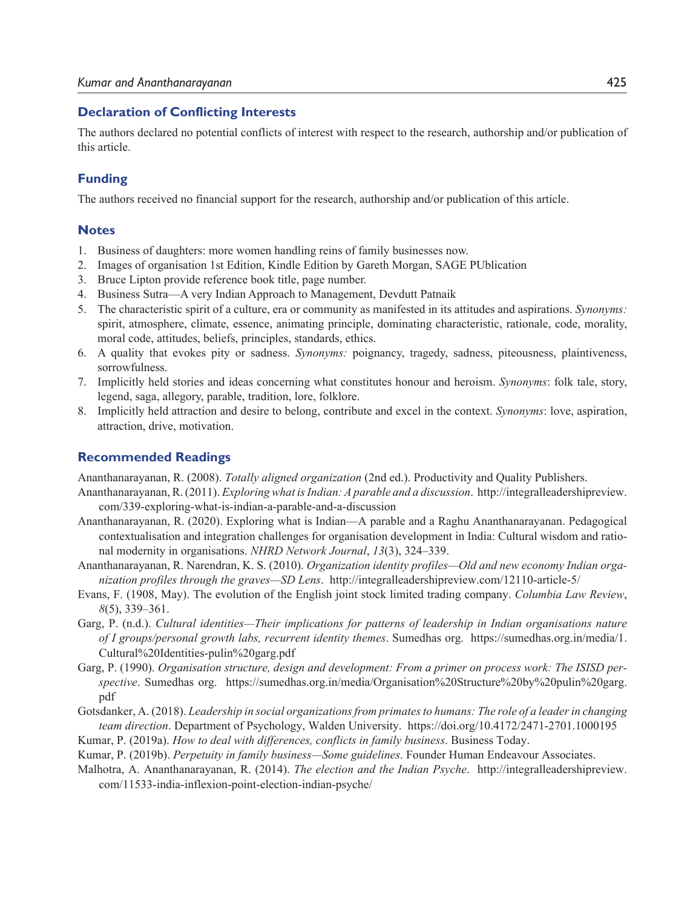#### **Declaration of Conflicting Interests**

The authors declared no potential conflicts of interest with respect to the research, authorship and/or publication of this article.

### **Funding**

The authors received no financial support for the research, authorship and/or publication of this article.

#### **Notes**

- 1. Business of daughters: more women handling reins of family businesses now.
- 2. Images of organisation 1st Edition, Kindle Edition by Gareth Morgan, SAGE PUblication
- 3. Bruce Lipton provide reference book title, page number.
- 4. Business Sutra—A very Indian Approach to Management, Devdutt Patnaik
- 5. The characteristic spirit of a culture, era or community as manifested in its attitudes and aspirations. *Synonyms:* spirit, atmosphere, climate, essence, animating principle, dominating characteristic, rationale, code, morality, moral code, attitudes, beliefs, principles, standards, ethics.
- 6. A quality that evokes pity or sadness. *Synonyms:* poignancy, tragedy, sadness, piteousness, plaintiveness, sorrowfulness.
- 7. Implicitly held stories and ideas concerning what constitutes honour and heroism. *Synonyms*: folk tale, story, legend, saga, allegory, parable, tradition, lore, folklore.
- 8. Implicitly held attraction and desire to belong, contribute and excel in the context. *Synonyms*: love, aspiration, attraction, drive, motivation.

#### **Recommended Readings**

Ananthanarayanan, R. (2008). *Totally aligned organization* (2nd ed.). Productivity and Quality Publishers.

- Ananthanarayanan, R. (2011). *Exploring what is Indian: A parable and a discussion*. http://integralleadershipreview. com/339-exploring-what-is-indian-a-parable-and-a-discussion
- Ananthanarayanan, R. (2020). Exploring what is Indian—A parable and a Raghu Ananthanarayanan. Pedagogical contextualisation and integration challenges for organisation development in India: Cultural wisdom and rational modernity in organisations. *NHRD Network Journal*, *13*(3), 324–339.
- Ananthanarayanan, R. Narendran, K. S. (2010). *Organization identity profiles—Old and new economy Indian organization profiles through the graves—SD Lens*. http://integralleadershipreview.com/12110-article-5/
- Evans, F. (1908, May). The evolution of the English joint stock limited trading company. *Columbia Law Review*, *8*(5), 339–361.
- Garg, P. (n.d.). *Cultural identities—Their implications for patterns of leadership in Indian organisations nature of I groups/personal growth labs, recurrent identity themes*. Sumedhas org. https://sumedhas.org.in/media/1. Cultural%20Identities-pulin%20garg.pdf
- Garg, P. (1990). *Organisation structure, design and development: From a primer on process work: The ISISD perspective*. Sumedhas org. https://sumedhas.org.in/media/Organisation%20Structure%20by%20pulin%20garg. pdf
- Gotsdanker, A. (2018). *Leadership in social organizations from primates to humans: The role of a leader in changing team direction*. Department of Psychology, Walden University. https://doi.org/10.4172/2471-2701.1000195
- Kumar, P. (2019a). *How to deal with differences, conflicts in family business*. Business Today.
- Kumar, P. (2019b). *Perpetuity in family business—Some guidelines*. Founder Human Endeavour Associates.
- Malhotra, A. Ananthanarayanan, R. (2014). *The election and the Indian Psyche*. http://integralleadershipreview. com/11533-india-inflexion-point-election-indian-psyche/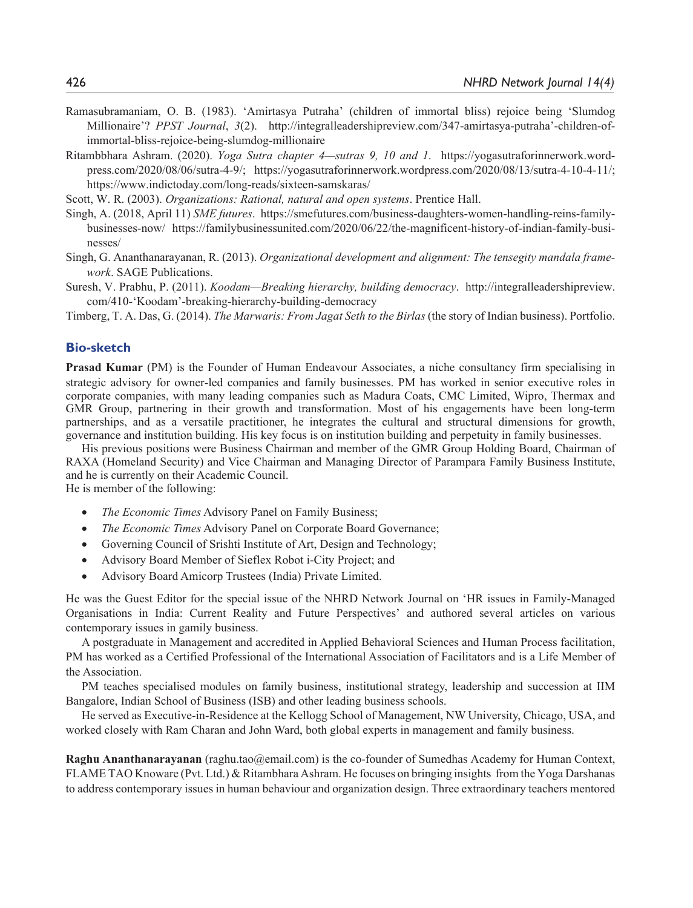- Ramasubramaniam, O. B. (1983). 'Amirtasya Putraha' (children of immortal bliss) rejoice being 'Slumdog Millionaire'? *PPST Journal*, *3*(2). http://integralleadershipreview.com/347-amirtasya-putraha'-children-ofimmortal-bliss-rejoice-being-slumdog-millionaire
- Ritambbhara Ashram. (2020). *Yoga Sutra chapter 4—sutras 9, 10 and 1*. https://yogasutraforinnerwork.wordpress.com/2020/08/06/sutra-4-9/; https://yogasutraforinnerwork.wordpress.com/2020/08/13/sutra-4-10-4-11/; https://www.indictoday.com/long-reads/sixteen-samskaras/

Scott, W. R. (2003). *Organizations: Rational, natural and open systems*. Prentice Hall.

- Singh, A. (2018, April 11) *SME futures*. https://smefutures.com/business-daughters-women-handling-reins-familybusinesses-now/ https://familybusinessunited.com/2020/06/22/the-magnificent-history-of-indian-family-businesses/
- Singh, G. Ananthanarayanan, R. (2013). *Organizational development and alignment: The tensegity mandala framework*. SAGE Publications.
- Suresh, V. Prabhu, P. (2011). *Koodam—Breaking hierarchy, building democracy*. http://integralleadershipreview. com/410-'Koodam'-breaking-hierarchy-building-democracy

Timberg, T. A. Das, G. (2014). *The Marwaris: From Jagat Seth to the Birlas* (the story of Indian business). Portfolio.

#### **Bio-sketch**

**Prasad Kumar** (PM) is the Founder of Human Endeavour Associates, a niche consultancy firm specialising in strategic advisory for owner-led companies and family businesses. PM has worked in senior executive roles in corporate companies, with many leading companies such as Madura Coats, CMC Limited, Wipro, Thermax and GMR Group, partnering in their growth and transformation. Most of his engagements have been long-term partnerships, and as a versatile practitioner, he integrates the cultural and structural dimensions for growth, governance and institution building. His key focus is on institution building and perpetuity in family businesses.

His previous positions were Business Chairman and member of the GMR Group Holding Board, Chairman of RAXA (Homeland Security) and Vice Chairman and Managing Director of Parampara Family Business Institute, and he is currently on their Academic Council. He is member of the following:

- x *The Economic Times* Advisory Panel on Family Business;
- *The Economic Times* Advisory Panel on Corporate Board Governance;
- Governing Council of Srishti Institute of Art, Design and Technology;
- Advisory Board Member of Sieflex Robot i-City Project; and
- x Advisory Board Amicorp Trustees (India) Private Limited.

He was the Guest Editor for the special issue of the NHRD Network Journal on 'HR issues in Family-Managed Organisations in India: Current Reality and Future Perspectives' and authored several articles on various contemporary issues in gamily business.

A postgraduate in Management and accredited in Applied Behavioral Sciences and Human Process facilitation, PM has worked as a Certified Professional of the International Association of Facilitators and is a Life Member of the Association.

PM teaches specialised modules on family business, institutional strategy, leadership and succession at IIM Bangalore, Indian School of Business (ISB) and other leading business schools.

He served as Executive-in-Residence at the Kellogg School of Management, NW University, Chicago, USA, and worked closely with Ram Charan and John Ward, both global experts in management and family business.

**Raghu Ananthanarayanan** (raghu.tao@email.com) is the co-founder of Sumedhas Academy for Human Context, FLAME TAO Knoware (Pvt. Ltd.) & Ritambhara Ashram. He focuses on bringing insights from the Yoga Darshanas to address contemporary issues in human behaviour and organization design. Three extraordinary teachers mentored